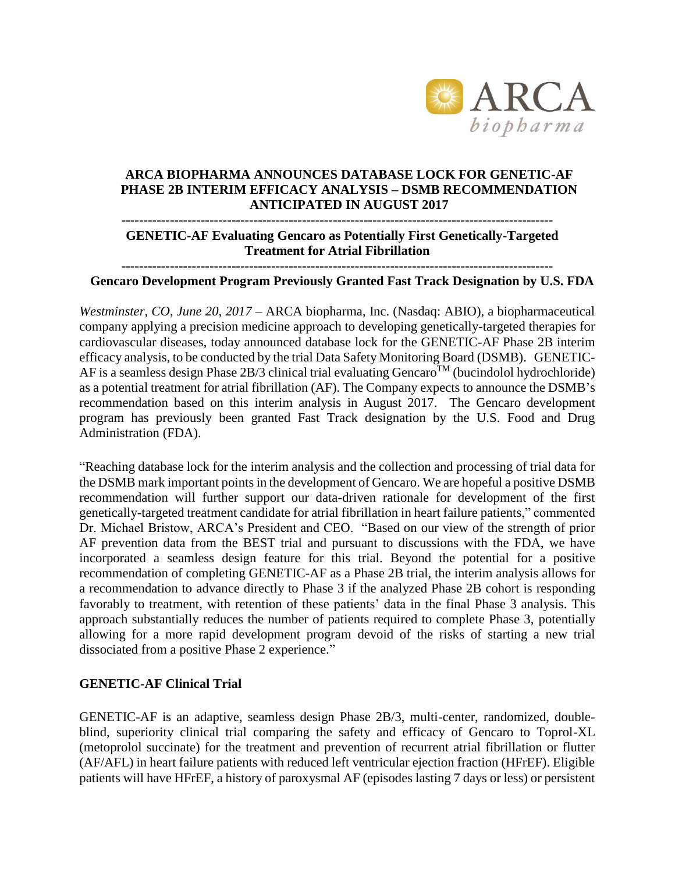

### **ARCA BIOPHARMA ANNOUNCES DATABASE LOCK FOR GENETIC-AF PHASE 2B INTERIM EFFICACY ANALYSIS – DSMB RECOMMENDATION ANTICIPATED IN AUGUST 2017**

#### **--------------------------------------------------------------------------------------------------**

#### **GENETIC-AF Evaluating Gencaro as Potentially First Genetically-Targeted Treatment for Atrial Fibrillation**

#### **--------------------------------------------------------------------------------------------------**

## **Gencaro Development Program Previously Granted Fast Track Designation by U.S. FDA**

*Westminster, CO, June 20, 2017* – ARCA biopharma, Inc. (Nasdaq: ABIO), a biopharmaceutical company applying a precision medicine approach to developing genetically-targeted therapies for cardiovascular diseases, today announced database lock for the GENETIC-AF Phase 2B interim efficacy analysis, to be conducted by the trial Data Safety Monitoring Board (DSMB). GENETIC-AF is a seamless design Phase  $2B/3$  clinical trial evaluating Gencaro<sup>TM</sup> (bucindolol hydrochloride) as a potential treatment for atrial fibrillation (AF). The Company expects to announce the DSMB's recommendation based on this interim analysis in August 2017. The Gencaro development program has previously been granted Fast Track designation by the U.S. Food and Drug Administration (FDA).

"Reaching database lock for the interim analysis and the collection and processing of trial data for the DSMB mark important points in the development of Gencaro. We are hopeful a positive DSMB recommendation will further support our data-driven rationale for development of the first genetically-targeted treatment candidate for atrial fibrillation in heart failure patients," commented Dr. Michael Bristow, ARCA's President and CEO. "Based on our view of the strength of prior AF prevention data from the BEST trial and pursuant to discussions with the FDA, we have incorporated a seamless design feature for this trial. Beyond the potential for a positive recommendation of completing GENETIC-AF as a Phase 2B trial, the interim analysis allows for a recommendation to advance directly to Phase 3 if the analyzed Phase 2B cohort is responding favorably to treatment, with retention of these patients' data in the final Phase 3 analysis. This approach substantially reduces the number of patients required to complete Phase 3, potentially allowing for a more rapid development program devoid of the risks of starting a new trial dissociated from a positive Phase 2 experience."

#### **GENETIC-AF Clinical Trial**

GENETIC-AF is an adaptive, seamless design Phase 2B/3, multi-center, randomized, doubleblind, superiority clinical trial comparing the safety and efficacy of Gencaro to Toprol-XL (metoprolol succinate) for the treatment and prevention of recurrent atrial fibrillation or flutter (AF/AFL) in heart failure patients with reduced left ventricular ejection fraction (HFrEF). Eligible patients will have HFrEF, a history of paroxysmal AF (episodes lasting 7 days or less) or persistent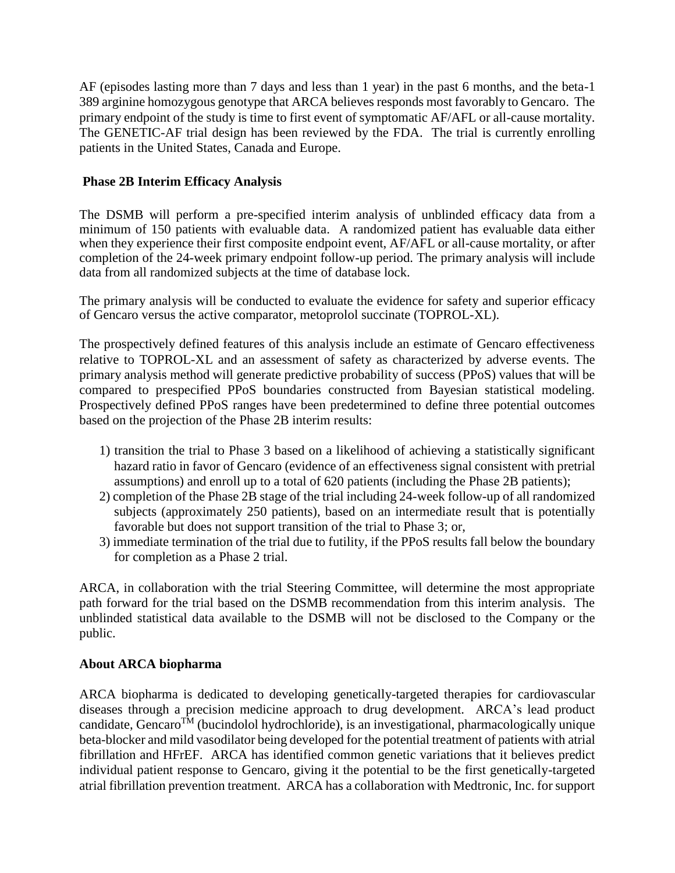AF (episodes lasting more than 7 days and less than 1 year) in the past 6 months, and the beta-1 389 arginine homozygous genotype that ARCA believes responds most favorably to Gencaro. The primary endpoint of the study is time to first event of symptomatic AF/AFL or all-cause mortality. The GENETIC-AF trial design has been reviewed by the FDA. The trial is currently enrolling patients in the United States, Canada and Europe.

# **Phase 2B Interim Efficacy Analysis**

The DSMB will perform a pre-specified interim analysis of unblinded efficacy data from a minimum of 150 patients with evaluable data. A randomized patient has evaluable data either when they experience their first composite endpoint event, AF/AFL or all-cause mortality, or after completion of the 24-week primary endpoint follow-up period. The primary analysis will include data from all randomized subjects at the time of database lock.

The primary analysis will be conducted to evaluate the evidence for safety and superior efficacy of Gencaro versus the active comparator, metoprolol succinate (TOPROL-XL).

The prospectively defined features of this analysis include an estimate of Gencaro effectiveness relative to TOPROL-XL and an assessment of safety as characterized by adverse events. The primary analysis method will generate predictive probability of success (PPoS) values that will be compared to prespecified PPoS boundaries constructed from Bayesian statistical modeling. Prospectively defined PPoS ranges have been predetermined to define three potential outcomes based on the projection of the Phase 2B interim results:

- 1) transition the trial to Phase 3 based on a likelihood of achieving a statistically significant hazard ratio in favor of Gencaro (evidence of an effectiveness signal consistent with pretrial assumptions) and enroll up to a total of 620 patients (including the Phase 2B patients);
- 2) completion of the Phase 2B stage of the trial including 24-week follow-up of all randomized subjects (approximately 250 patients), based on an intermediate result that is potentially favorable but does not support transition of the trial to Phase 3; or,
- 3) immediate termination of the trial due to futility, if the PPoS results fall below the boundary for completion as a Phase 2 trial.

ARCA, in collaboration with the trial Steering Committee, will determine the most appropriate path forward for the trial based on the DSMB recommendation from this interim analysis. The unblinded statistical data available to the DSMB will not be disclosed to the Company or the public.

# **About ARCA biopharma**

ARCA biopharma is dedicated to developing genetically-targeted therapies for cardiovascular diseases through a precision medicine approach to drug development. ARCA's lead product candidate, Gencaro<sup>TM</sup> (bucindolol hydrochloride), is an investigational, pharmacologically unique beta-blocker and mild vasodilator being developed for the potential treatment of patients with atrial fibrillation and HFrEF. ARCA has identified common genetic variations that it believes predict individual patient response to Gencaro, giving it the potential to be the first genetically-targeted atrial fibrillation prevention treatment. ARCA has a collaboration with Medtronic, Inc. for support